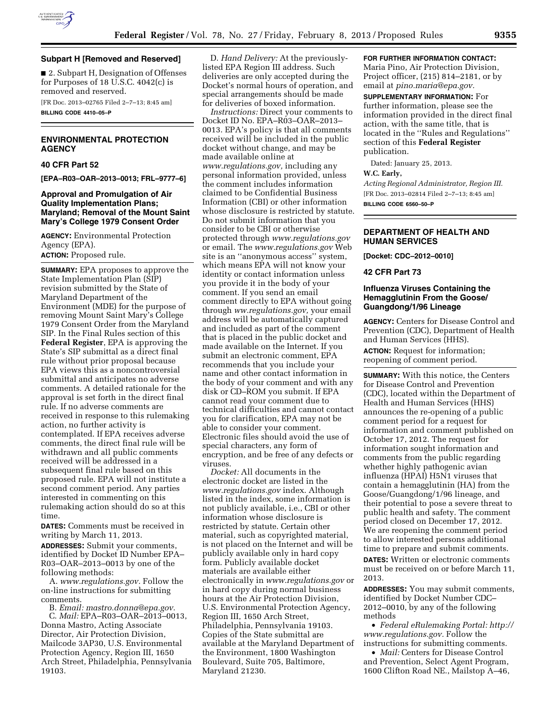

#### **Subpart H [Removed and Reserved]**

■ 2. Subpart H, Designation of Offenses for Purposes of 18 U.S.C. 4042(c) is removed and reserved.

[FR Doc. 2013–02765 Filed 2–7–13; 8:45 am]

**BILLING CODE 4410–05–P** 

## **ENVIRONMENTAL PROTECTION AGENCY**

#### **40 CFR Part 52**

**[EPA–R03–OAR–2013–0013; FRL–9777–6]** 

#### **Approval and Promulgation of Air Quality Implementation Plans; Maryland; Removal of the Mount Saint Mary's College 1979 Consent Order**

**AGENCY:** Environmental Protection Agency (EPA). **ACTION:** Proposed rule.

**SUMMARY:** EPA proposes to approve the State Implementation Plan (SIP) revision submitted by the State of Maryland Department of the Environment (MDE) for the purpose of removing Mount Saint Mary's College 1979 Consent Order from the Maryland SIP. In the Final Rules section of this **Federal Register**, EPA is approving the State's SIP submittal as a direct final rule without prior proposal because EPA views this as a noncontroversial submittal and anticipates no adverse comments. A detailed rationale for the approval is set forth in the direct final rule. If no adverse comments are received in response to this rulemaking action, no further activity is contemplated. If EPA receives adverse comments, the direct final rule will be withdrawn and all public comments received will be addressed in a subsequent final rule based on this proposed rule. EPA will not institute a second comment period. Any parties interested in commenting on this rulemaking action should do so at this time.

**DATES:** Comments must be received in writing by March 11, 2013.

**ADDRESSES:** Submit your comments, identified by Docket ID Number EPA– R03–OAR–2013–0013 by one of the following methods:

A. *[www.regulations.gov.](http://www.regulations.gov)* Follow the on-line instructions for submitting comments.

B. *Email: [mastro.donna@epa.gov.](mailto:mastro.donna@epa.gov)* 

C. *Mail:* EPA–R03–OAR–2013–0013, Donna Mastro, Acting Associate Director, Air Protection Division, Mailcode 3AP30, U.S. Environmental Protection Agency, Region III, 1650 Arch Street, Philadelphia, Pennsylvania 19103.

D. *Hand Delivery:* At the previouslylisted EPA Region III address. Such deliveries are only accepted during the Docket's normal hours of operation, and special arrangements should be made for deliveries of boxed information.

*Instructions:* Direct your comments to Docket ID No. EPA–R03–OAR–2013– 0013. EPA's policy is that all comments received will be included in the public docket without change, and may be made available online at *[www.regulations.gov,](http://www.regulations.gov)* including any personal information provided, unless the comment includes information claimed to be Confidential Business Information (CBI) or other information whose disclosure is restricted by statute. Do not submit information that you consider to be CBI or otherwise protected through *[www.regulations.gov](http://www.regulations.gov)*  or email. The *[www.regulations.gov](http://www.regulations.gov)* Web site is an ''anonymous access'' system, which means EPA will not know your identity or contact information unless you provide it in the body of your comment. If you send an email comment directly to EPA without going through *ww.regulations.gov,* your email address will be automatically captured and included as part of the comment that is placed in the public docket and made available on the Internet. If you submit an electronic comment, EPA recommends that you include your name and other contact information in the body of your comment and with any disk or CD–ROM you submit. If EPA cannot read your comment due to technical difficulties and cannot contact you for clarification, EPA may not be able to consider your comment. Electronic files should avoid the use of special characters, any form of encryption, and be free of any defects or viruses.

*Docket:* All documents in the electronic docket are listed in the *[www.regulations.gov](http://www.regulations.gov)* index. Although listed in the index, some information is not publicly available, i.e., CBI or other information whose disclosure is restricted by statute. Certain other material, such as copyrighted material, is not placed on the Internet and will be publicly available only in hard copy form. Publicly available docket materials are available either electronically in *[www.regulations.gov](http://www.regulations.gov)* or in hard copy during normal business hours at the Air Protection Division, U.S. Environmental Protection Agency, Region III, 1650 Arch Street, Philadelphia, Pennsylvania 19103. Copies of the State submittal are available at the Maryland Department of the Environment, 1800 Washington Boulevard, Suite 705, Baltimore, Maryland 21230.

# **FOR FURTHER INFORMATION CONTACT:**

Maria Pino, Air Protection Division, Project officer, (215) 814–2181, or by email at *[pino.maria@epa.gov.](mailto:pino.maria@epa.gov)* 

**SUPPLEMENTARY INFORMATION:** For further information, please see the information provided in the direct final action, with the same title, that is located in the ''Rules and Regulations'' section of this **Federal Register**  publication.

Dated: January 25, 2013.

#### **W.C. Early,**

*Acting Regional Administrator, Region III.*  [FR Doc. 2013–02814 Filed 2–7–13; 8:45 am] **BILLING CODE 6560–50–P** 

## **DEPARTMENT OF HEALTH AND HUMAN SERVICES**

**[Docket: CDC–2012–0010]** 

#### **42 CFR Part 73**

#### **Influenza Viruses Containing the Hemagglutinin From the Goose/ Guangdong/1/96 Lineage**

**AGENCY:** Centers for Disease Control and Prevention (CDC), Department of Health and Human Services (HHS).

**ACTION:** Request for information; reopening of comment period.

**SUMMARY:** With this notice, the Centers for Disease Control and Prevention (CDC), located within the Department of Health and Human Services (HHS) announces the re-opening of a public comment period for a request for information and comment published on October 17, 2012. The request for information sought information and comments from the public regarding whether highly pathogenic avian influenza (HPAI) H5N1 viruses that contain a hemagglutinin (HA) from the Goose/Guangdong/1/96 lineage, and their potential to pose a severe threat to public health and safety. The comment period closed on December 17, 2012. We are reopening the comment period to allow interested persons additional time to prepare and submit comments. **DATES:** Written or electronic comments must be received on or before March 11,

2013.

**ADDRESSES:** You may submit comments, identified by Docket Number CDC– 2012–0010, by any of the following methods

• *Federal eRulemaking Portal: [http://](http://www.regulations.gov)  [www.regulations.gov.](http://www.regulations.gov)* Follow the instructions for submitting comments.

• *Mail:* Centers for Disease Control and Prevention, Select Agent Program, 1600 Clifton Road NE., Mailstop A–46,